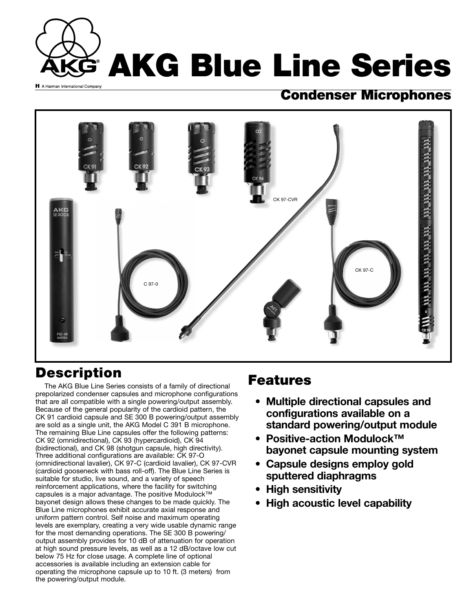

#### **Condenser Microphones**



## **Description**

The AKG Blue Line Series consists of a family of directional prepolarized condenser capsules and microphone configurations that are all compatible with a single powering/output assembly. Because of the general popularity of the cardioid pattern, the CK 91 cardioid capsule and SE 300 B powering/output assembly are sold as a single unit, the AKG Model C 391 B microphone. The remaining Blue Line capsules offer the following patterns: CK 92 (omnidirectional), CK 93 (hypercardioid), CK 94 (bidirectional), and CK 98 (shotgun capsule, high directivity). Three additional configurations are available: CK 97-O (omnidirectional lavalier), CK 97-C (cardioid lavalier), CK 97-CVR (cardioid gooseneck with bass roll-off). The Blue Line Series is suitable for studio, live sound, and a variety of speech reinforcement applications, where the facility for switching capsules is a major advantage. The positive Modulock™ bayonet design allows these changes to be made quickly. The Blue Line microphones exhibit accurate axial response and uniform pattern control. Self noise and maximum operating levels are exemplary, creating a very wide usable dynamic range for the most demanding operations. The SE 300 B powering/ output assembly provides for 10 dB of attenuation for operation at high sound pressure levels, as well as a 12 dB/octave low cut below 75 Hz for close usage. A complete line of optional accessories is available including an extension cable for operating the microphone capsule up to 10 ft. (3 meters) from the powering/output module.

#### **Features**

- **Multiple directional capsules and configurations available on a standard powering/output module**
- **Positive-action Modulock™ bayonet capsule mounting system**
- **Capsule designs employ gold sputtered diaphragms**
- **High sensitivity**
- **High acoustic level capability**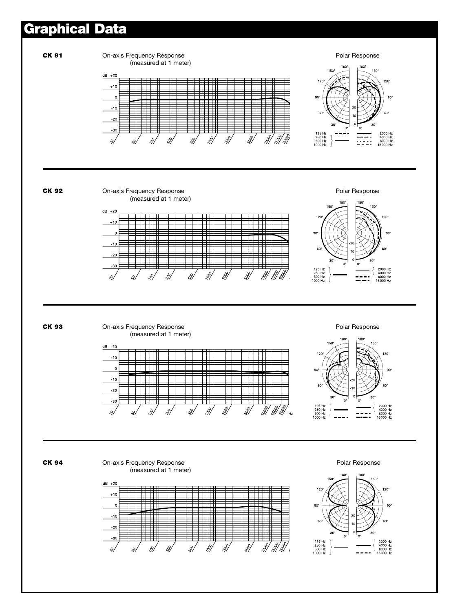### **Graphical Data**

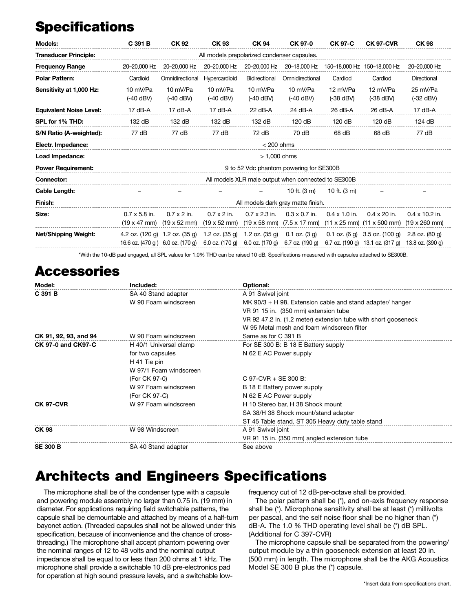# **Specifications**

| Models:                        | C 391 B                                             | <b>CK 92</b>                                                       | <b>CK 93</b>                                      | <b>CK 94</b>                                        | CK 97-0                                              | <b>CK 97-C</b>          | <b>CK 97-CVR</b>                                                                | <b>CK 98</b>                                          |
|--------------------------------|-----------------------------------------------------|--------------------------------------------------------------------|---------------------------------------------------|-----------------------------------------------------|------------------------------------------------------|-------------------------|---------------------------------------------------------------------------------|-------------------------------------------------------|
| <b>Transducer Principle:</b>   | All models prepolarized condenser capsules.         |                                                                    |                                                   |                                                     |                                                      |                         |                                                                                 |                                                       |
| <b>Frequency Range</b>         | 20-20,000 Hz                                        | 20-20,000 Hz                                                       | 20-20.000 Hz                                      | 20-20.000 Hz                                        | 20-18,000 Hz                                         |                         | 150-18,000 Hz 150-18,000 Hz                                                     | 20-20,000 Hz                                          |
| <b>Polar Pattern:</b>          | Cardioid                                            | Omnidirectional                                                    | Hypercardioid                                     | Bidirectional                                       | Omnidirectional                                      | Cardiod                 | Cardiod                                                                         | Directional                                           |
| Sensitivity at 1,000 Hz:       | 10 mV/Pa<br>$(-40$ dBV)                             | 10 mV/Pa<br>$(-40$ dBV)                                            | 10 mV/Pa<br>$(-40$ dBV)                           | 10 mV/Pa<br>$(-40$ dBV)                             | 10 mV/Pa<br>$(-40$ dBV)                              | 12 mV/Pa<br>$(-38$ dBV) | 12 mV/Pa<br>$(-38$ dBV)                                                         | 25 mV/Pa<br>$(-32$ dBV)                               |
| <b>Equivalent Noise Level:</b> | $17$ dB-A                                           | $17$ dB-A                                                          | $17$ dB-A                                         | $22$ dB-A                                           | 24 dB-A                                              | $26$ dB-A               | 26 dB-A                                                                         | $17$ dB-A                                             |
| SPL for 1% THD:                | 132 dB                                              | 132 dB                                                             | 132 dB                                            | 132 dB                                              | 120 dB                                               | 120 dB                  | 120 dB                                                                          | 124 dB                                                |
| S/N Ratio (A-weighted):        | 77 dB                                               | 77 dB                                                              | 77 dB                                             | 72 dB                                               | 70 dB                                                | 68 dB                   | 68 dB                                                                           | 77 dB                                                 |
| Electr. Impedance:             | $<$ 200 ohms                                        |                                                                    |                                                   |                                                     |                                                      |                         |                                                                                 |                                                       |
| Load Impedance:                | $> 1,000$ ohms                                      |                                                                    |                                                   |                                                     |                                                      |                         |                                                                                 |                                                       |
| <b>Power Requirement:</b>      | 9 to 52 Vdc phantom powering for SE300B             |                                                                    |                                                   |                                                     |                                                      |                         |                                                                                 |                                                       |
| <b>Connector:</b>              | All models XLR male output when connected to SE300B |                                                                    |                                                   |                                                     |                                                      |                         |                                                                                 |                                                       |
| Cable Length:                  |                                                     |                                                                    |                                                   |                                                     | 10 ft. $(3 \text{ m})$                               | 10 ft. (3 m)            |                                                                                 |                                                       |
| Finish:                        | All models dark gray matte finish.                  |                                                                    |                                                   |                                                     |                                                      |                         |                                                                                 |                                                       |
| Size:                          | $0.7 \times 5.8$ in.<br>$(19 \times 47 \text{ mm})$ | $0.7 \times 2$ in.<br>$(19 \times 52 \text{ mm})$                  | $0.7 \times 2$ in.<br>$(19 \times 52 \text{ mm})$ | $0.7 \times 2.3$ in.<br>$(19 \times 58 \text{ mm})$ | $0.3 \times 0.7$ in.<br>$(7.5 \times 17 \text{ mm})$ | $0.4 \times 1.0$ in.    | $0.4 \times 20$ in.<br>$(11 \times 25 \text{ mm})$ $(11 \times 500 \text{ mm})$ | $0.4 \times 10.2$ in.<br>$(19 \times 260 \text{ mm})$ |
| Net/Shipping Weight:           |                                                     | 4.2 oz. (120 g) 1.2 oz. (35 g)<br>16.6 oz. (470 g) 6.0 oz. (170 g) | 1.2 oz. (35 g)<br>6.0 oz. (170 g)                 | 1.2 oz. $(35 g)$<br>6.0 oz. (170 g)                 | $0.1$ oz. $(3 g)$<br>6.7 oz. (190 g)                 | $0.1$ oz. $(6 g)$       | 3.5 oz. (100 g)<br>6.7 oz. $(190 \text{ q})$ 13.1 oz. $(317 \text{ q})$         | $2.8$ oz. $(80q)$<br>13.8 oz. (390 g)                 |
|                                |                                                     |                                                                    |                                                   |                                                     |                                                      |                         | $\cdots$ $\cdots$ $\cdots$                                                      |                                                       |

\*With the 10-dB pad engaged, all SPL values for 1.0% THD can be raised 10 dB. Specifications measured with capsules attached to SE300B.

### **Accessories**

| Model:                    | Included:              | Optional:                                                      |  |  |  |
|---------------------------|------------------------|----------------------------------------------------------------|--|--|--|
| $C$ 391 B                 | SA 40 Stand adapter    | A 91 Swivel joint                                              |  |  |  |
|                           | W 90 Foam windscreen   | MK $90/3$ + H 98, Extension cable and stand adapter/ hanger    |  |  |  |
|                           |                        | VR 91 15 in. (350 mm) extension tube                           |  |  |  |
|                           |                        | VR 92 47.2 in. (1.2 meter) extension tube with short gooseneck |  |  |  |
|                           |                        | W 95 Metal mesh and foam windscreen filter                     |  |  |  |
| CK 91, 92, 93, and 94     | W 90 Foam windscreen   | Same as for C 391 B                                            |  |  |  |
| <b>CK 97-0 and CK97-C</b> | H 40/1 Universal clamp | For SE 300 B: B 18 E Battery supply                            |  |  |  |
|                           | for two capsules       | N 62 E AC Power supply                                         |  |  |  |
|                           | H 41 Tie pin           |                                                                |  |  |  |
|                           | W 97/1 Foam windscreen |                                                                |  |  |  |
|                           | (For CK 97-0)          | C 97-CVR + SE 300 B:                                           |  |  |  |
|                           | W 97 Foam windscreen   | B 18 E Battery power supply                                    |  |  |  |
|                           | (For CK 97-C)          | N 62 E AC Power supply                                         |  |  |  |
| <b>CK 97-CVR</b>          | W 97 Foam windscreen   | H 10 Stereo bar, H 38 Shock mount                              |  |  |  |
|                           |                        | SA 38/H 38 Shock mount/stand adapter                           |  |  |  |
|                           |                        | ST 45 Table stand, ST 305 Heavy duty table stand               |  |  |  |
| <b>CK 98</b>              | W 98 Windscreen        | A 91 Swivel joint                                              |  |  |  |
|                           |                        | VR 91 15 in. (350 mm) angled extension tube                    |  |  |  |
| <b>SE 300 B</b>           | SA 40 Stand adapter    | See above                                                      |  |  |  |
|                           |                        |                                                                |  |  |  |

### **Architects and Engineers Specifications**

The microphone shall be of the condenser type with a capsule and powering module assembly no larger than 0.75 in. (19 mm) in diameter. For applications requiring field switchable patterns, the capsule shall be demountable and attached by means of a half-turn bayonet action. (Threaded capsules shall not be allowed under this specification, because of inconvenience and the chance of crossthreading.) The microphone shall accept phantom powering over the nominal ranges of 12 to 48 volts and the nominal output impedance shall be equal to or less than 200 ohms at 1 kHz. The microphone shall provide a switchable 10 dB pre-electronics pad for operation at high sound pressure levels, and a switchable lowfrequency cut of 12 dB-per-octave shall be provided.

The polar pattern shall be (\*), and on-axis frequency response shall be (\*). Microphone sensitivity shall be at least (\*) millivolts per pascal, and the self noise floor shall be no higher than (\*) dB-A. The 1.0 % THD operating level shall be (\*) dB SPL. (Additional for C 397-CVR)

The microphone capsule shall be separated from the powering/ output module by a thin gooseneck extension at least 20 in. (500 mm) in length. The microphone shall be the AKG Acoustics Model SE 300 B plus the (\*) capsule.